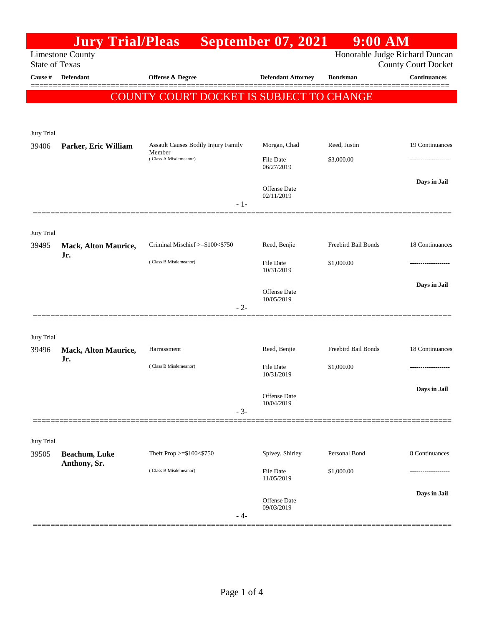|                       | <b>Jury Trial/Pleas</b>              |                                                                                        |       | <b>September 07, 2021</b>         | $9:00$ AM                                                    |                     |
|-----------------------|--------------------------------------|----------------------------------------------------------------------------------------|-------|-----------------------------------|--------------------------------------------------------------|---------------------|
| <b>State of Texas</b> | <b>Limestone County</b>              |                                                                                        |       |                                   | Honorable Judge Richard Duncan<br><b>County Court Docket</b> |                     |
| Cause #               | <b>Defendant</b>                     | <b>Offense &amp; Degree</b>                                                            |       | <b>Defendant Attorney</b>         | <b>Bondsman</b>                                              | <b>Continuances</b> |
|                       |                                      | COUNTY COURT DOCKET IS SUBJECT TO CHANGE                                               |       |                                   |                                                              |                     |
| Jury Trial            |                                      |                                                                                        |       |                                   |                                                              |                     |
| 39406                 | Parker, Eric William                 | <b>Assault Causes Bodily Injury Family</b><br>Member<br>(Class A Misdemeanor)<br>$-1-$ |       | Morgan, Chad                      | Reed, Justin                                                 | 19 Continuances     |
|                       |                                      |                                                                                        |       | <b>File Date</b><br>06/27/2019    | \$3,000.00                                                   |                     |
|                       |                                      |                                                                                        |       | <b>Offense Date</b><br>02/11/2019 |                                                              | Days in Jail        |
| Jury Trial<br>39495   | Mack, Alton Maurice,                 | Criminal Mischief >=\$100<\$750                                                        |       | Reed, Benjie                      | Freebird Bail Bonds                                          | 18 Continuances     |
|                       | Jr.                                  | (Class B Misdemeanor)                                                                  |       | <b>File Date</b><br>10/31/2019    | \$1,000.00                                                   | ----------------    |
|                       |                                      |                                                                                        | $-2-$ | <b>Offense Date</b><br>10/05/2019 |                                                              | Days in Jail        |
| Jury Trial            |                                      |                                                                                        |       |                                   |                                                              |                     |
| 39496                 | <b>Mack, Alton Maurice,</b><br>Jr.   | Harrassment                                                                            |       | Reed, Benjie                      | Freebird Bail Bonds                                          | 18 Continuances     |
|                       |                                      | (Class B Misdemeanor)                                                                  |       | <b>File Date</b><br>10/31/2019    | \$1,000.00                                                   |                     |
|                       |                                      |                                                                                        | $-3-$ | Offense Date<br>10/04/2019        |                                                              | Days in Jail        |
| Jury Trial            |                                      |                                                                                        |       |                                   |                                                              |                     |
| 39505                 | <b>Beachum, Luke</b><br>Anthony, Sr. | Theft Prop >=\$100<\$750                                                               |       | Spivey, Shirley                   | Personal Bond                                                | 8 Continuances      |
|                       |                                      | (Class B Misdemeanor)                                                                  |       | File Date<br>11/05/2019           | \$1,000.00                                                   |                     |
|                       |                                      |                                                                                        | - 4-  | Offense Date<br>09/03/2019        |                                                              | Days in Jail        |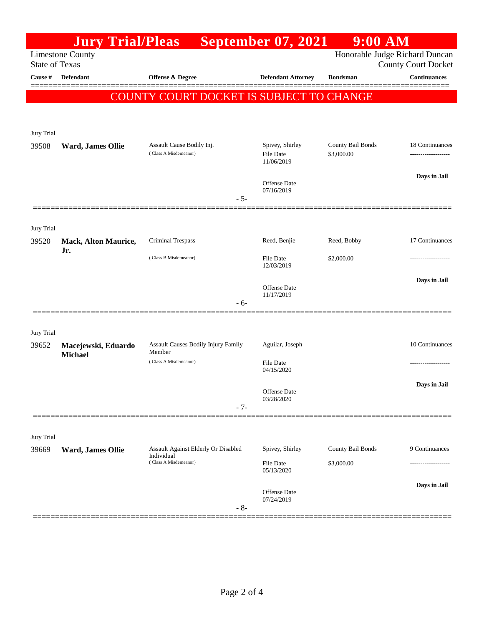|                                                                                    | <b>Jury Trial/Pleas</b>            |                                          | <b>September 07, 2021</b>         | $9:00$ AM         |                                                   |  |
|------------------------------------------------------------------------------------|------------------------------------|------------------------------------------|-----------------------------------|-------------------|---------------------------------------------------|--|
| Honorable Judge Richard Duncan<br><b>Limestone County</b><br><b>State of Texas</b> |                                    |                                          |                                   |                   |                                                   |  |
| Cause #                                                                            | Defendant                          | Offense & Degree                         | <b>Defendant Attorney</b>         |                   | <b>County Court Docket</b><br><b>Continuances</b> |  |
|                                                                                    |                                    |                                          |                                   | <b>Bondsman</b>   |                                                   |  |
|                                                                                    |                                    | COUNTY COURT DOCKET IS SUBJECT TO CHANGE |                                   |                   |                                                   |  |
|                                                                                    |                                    |                                          |                                   |                   |                                                   |  |
| Jury Trial                                                                         |                                    |                                          |                                   |                   |                                                   |  |
| 39508                                                                              | Ward, James Ollie                  | Assault Cause Bodily Inj.                | Spivey, Shirley                   | County Bail Bonds | 18 Continuances                                   |  |
|                                                                                    |                                    | (Class A Misdemeanor)                    | <b>File Date</b><br>11/06/2019    | \$3,000.00        |                                                   |  |
|                                                                                    |                                    |                                          |                                   |                   | Days in Jail                                      |  |
|                                                                                    |                                    |                                          | <b>Offense</b> Date<br>07/16/2019 |                   |                                                   |  |
|                                                                                    |                                    | $-5-$                                    |                                   |                   |                                                   |  |
|                                                                                    |                                    |                                          |                                   |                   |                                                   |  |
| Jury Trial                                                                         |                                    |                                          |                                   |                   |                                                   |  |
| 39520                                                                              | <b>Mack, Alton Maurice,</b><br>Jr. | Criminal Trespass                        | Reed, Benjie                      | Reed, Bobby       | 17 Continuances                                   |  |
|                                                                                    |                                    | (Class B Misdemeanor)                    | File Date<br>12/03/2019           | \$2,000.00        |                                                   |  |
|                                                                                    |                                    |                                          | <b>Offense</b> Date               |                   | Days in Jail                                      |  |
|                                                                                    |                                    |                                          | 11/17/2019                        |                   |                                                   |  |
|                                                                                    |                                    | - 6-                                     |                                   |                   |                                                   |  |
|                                                                                    |                                    |                                          |                                   |                   |                                                   |  |
| Jury Trial<br>39652                                                                | Macejewski, Eduardo                | Assault Causes Bodily Injury Family      | Aguilar, Joseph                   |                   | 10 Continuances                                   |  |
|                                                                                    | <b>Michael</b>                     | Member                                   |                                   |                   |                                                   |  |
|                                                                                    |                                    | (Class A Misdemeanor)                    | File Date<br>04/15/2020           |                   |                                                   |  |
|                                                                                    |                                    |                                          |                                   |                   | Days in Jail                                      |  |
|                                                                                    |                                    |                                          | Offense Date<br>03/28/2020        |                   |                                                   |  |
|                                                                                    |                                    | $-7-$                                    |                                   |                   |                                                   |  |
|                                                                                    |                                    |                                          |                                   |                   |                                                   |  |
| Jury Trial                                                                         |                                    | Assault Against Elderly Or Disabled      | Spivey, Shirley                   | County Bail Bonds | 9 Continuances                                    |  |
| 39669                                                                              | Ward, James Ollie                  | Individual<br>(Class A Misdemeanor)      | <b>File Date</b>                  | \$3,000.00        |                                                   |  |
|                                                                                    |                                    |                                          | 05/13/2020                        |                   |                                                   |  |
|                                                                                    |                                    |                                          | Offense Date                      |                   | Days in Jail                                      |  |
|                                                                                    |                                    | $-8-$                                    | 07/24/2019                        |                   |                                                   |  |
|                                                                                    |                                    |                                          |                                   |                   |                                                   |  |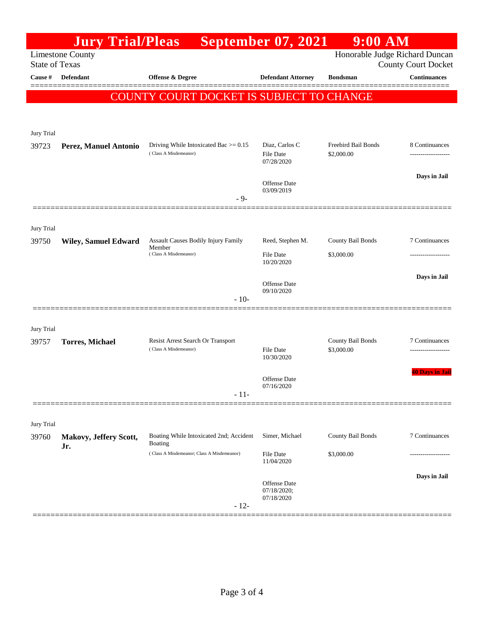|                                                                                    | <b>Jury Trial/Pleas</b>     |                                                            | <b>September 07, 2021</b>         | <b>9:00 AM</b>                  |                                                   |  |
|------------------------------------------------------------------------------------|-----------------------------|------------------------------------------------------------|-----------------------------------|---------------------------------|---------------------------------------------------|--|
| Honorable Judge Richard Duncan<br><b>Limestone County</b><br><b>State of Texas</b> |                             |                                                            |                                   |                                 |                                                   |  |
| Cause #                                                                            | <b>Defendant</b>            | Offense & Degree                                           | <b>Defendant Attorney</b>         | <b>Bondsman</b>                 | <b>County Court Docket</b><br><b>Continuances</b> |  |
|                                                                                    |                             |                                                            |                                   |                                 |                                                   |  |
|                                                                                    |                             | COUNTY COURT DOCKET IS SUBJECT TO CHANGE                   |                                   |                                 |                                                   |  |
|                                                                                    |                             |                                                            |                                   |                                 |                                                   |  |
| Jury Trial                                                                         |                             |                                                            |                                   |                                 |                                                   |  |
| 39723                                                                              | Perez, Manuel Antonio       | Driving While Intoxicated Bac $>= 0.15$                    | Diaz, Carlos C                    | Freebird Bail Bonds             | 8 Continuances                                    |  |
|                                                                                    |                             | (Class A Misdemeanor)                                      | File Date<br>07/28/2020           | \$2,000.00                      |                                                   |  |
|                                                                                    |                             |                                                            |                                   |                                 | Days in Jail                                      |  |
|                                                                                    |                             |                                                            | <b>Offense Date</b><br>03/09/2019 |                                 |                                                   |  |
|                                                                                    |                             | $-9-$                                                      |                                   |                                 |                                                   |  |
|                                                                                    |                             |                                                            |                                   |                                 |                                                   |  |
| Jury Trial                                                                         |                             |                                                            |                                   |                                 |                                                   |  |
| 39750                                                                              | <b>Wiley, Samuel Edward</b> | Assault Causes Bodily Injury Family<br>Member              | Reed, Stephen M.                  | County Bail Bonds               | 7 Continuances                                    |  |
|                                                                                    |                             | (Class A Misdemeanor)                                      | File Date<br>10/20/2020           | \$3,000.00                      |                                                   |  |
|                                                                                    |                             |                                                            |                                   |                                 | Days in Jail                                      |  |
|                                                                                    |                             |                                                            | <b>Offense Date</b><br>09/10/2020 |                                 |                                                   |  |
|                                                                                    |                             | $-10-$                                                     |                                   |                                 |                                                   |  |
|                                                                                    |                             |                                                            |                                   |                                 |                                                   |  |
| Jury Trial                                                                         |                             |                                                            |                                   |                                 |                                                   |  |
| 39757                                                                              | <b>Torres, Michael</b>      | Resist Arrest Search Or Transport<br>(Class A Misdemeanor) | File Date                         | County Bail Bonds<br>\$3,000.00 | 7 Continuances<br>-------------------             |  |
|                                                                                    |                             |                                                            | 10/30/2020                        |                                 |                                                   |  |
|                                                                                    |                             |                                                            | Offense Date                      |                                 | <b>40 Days in Jail</b>                            |  |
|                                                                                    |                             | $-11-$                                                     | 07/16/2020                        |                                 |                                                   |  |
|                                                                                    |                             |                                                            |                                   |                                 |                                                   |  |
| Jury Trial                                                                         |                             |                                                            |                                   |                                 |                                                   |  |
| 39760                                                                              | Makovy, Jeffery Scott,      | Boating While Intoxicated 2nd; Accident                    | Simer, Michael                    | County Bail Bonds               | 7 Continuances                                    |  |
|                                                                                    | Jr.                         | Boating<br>(Class A Misdemeanor; Class A Misdemeanor)      | File Date                         | \$3,000.00                      |                                                   |  |
|                                                                                    |                             |                                                            | 11/04/2020                        |                                 |                                                   |  |
|                                                                                    |                             |                                                            | Offense Date                      |                                 | Days in Jail                                      |  |
|                                                                                    |                             |                                                            | 07/18/2020;<br>07/18/2020         |                                 |                                                   |  |
|                                                                                    |                             | $-12-$                                                     |                                   |                                 |                                                   |  |
|                                                                                    |                             |                                                            |                                   |                                 |                                                   |  |